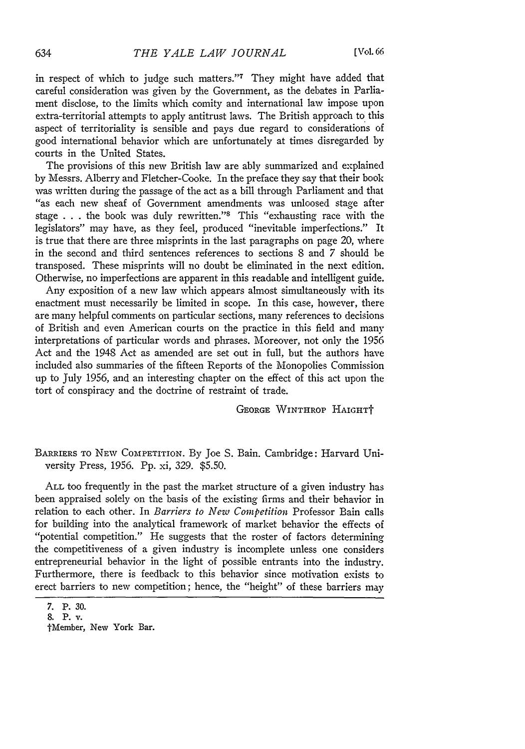in respect of which to judge such matters."7 They might have added that careful consideration was given by the Government, as the debates in Parliament disclose, to the limits which comity and international law impose upon extra-territorial attempts to apply antitrust laws. The British approach to this aspect of territoriality is sensible and pays due regard to considerations of good international behavior which are unfortunately at times disregarded by courts in the United States.

The provisions of this new British law are ably summarized and explained by Messrs. Alberry and Fletcher-Cooke. In the preface they say that their book was written during the passage of the act as a bill through Parliament and that "as each new sheaf of Government amendments was unloosed stage after stage . . . the book was duly rewritten."<sup>8</sup> This "exhausting race with the legislators" may have, as they feel, produced "inevitable imperfections." It is true that there are three misprints in the last paragraphs on page 20, where in the second and third sentences references to sections **8** and 7 should be transposed. These misprints will no doubt be eliminated in the next edition. Otherwise, no imperfections are apparent in this readable and intelligent guide.

Any exposition of a new law which appears almost simultaneously with its enactment must necessarily be limited in scope. In this case, however, there are many helpful comments on particular sections, many references to decisions of British and even American courts on the practice in this field and many interpretations of particular words and phrases. Moreover, not only the 1956 Act and the 1948 Act as amended are set out in full, but the authors have included also summaries of the fifteen Reports of the Monopolies Commission up to July 1956, and an interesting chapter on the effect of this act upon the tort of conspiracy and the doctrine of restraint of trade.

GEORGE WINTHROP HAIGHTT

BARRIERS To NEW COMPETITION. By Joe S. Bain. Cambridge: Harvard University Press, 1956. Pp. xi, 329. \$5.50.

ALL too frequently in the past the market structure of a given industry has been appraised solely on the basis of the existing firms and their behavior in relation to each other. In *Barriers to New Competition* Professor Bain calls for building into the analytical framework of market behavior the effects of "potential competition." He suggests that the roster of factors determining the competitiveness of a given industry is incomplete unless one considers entrepreneurial behavior in the light of possible entrants into the industry. Furthermore, there is feedback to this behavior since motivation exists to erect barriers to new competition; hence, the "height" of these barriers may

<sup>7.</sup> P. 30.

**<sup>8.</sup>** P. v.

tMember, New York Bar.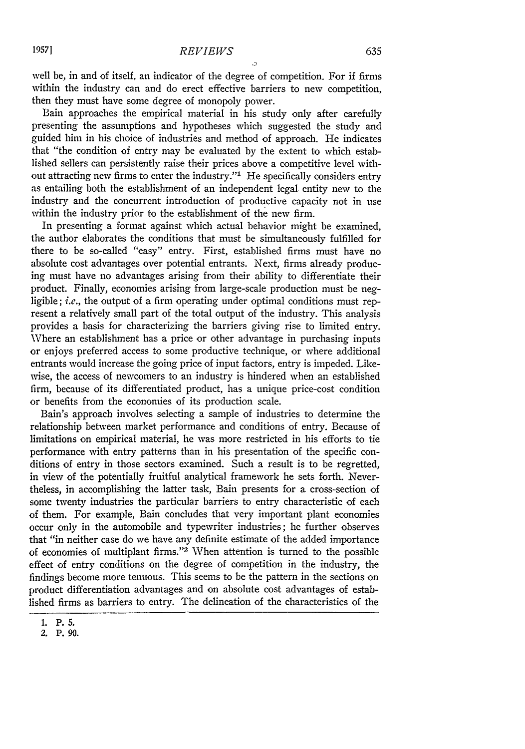well be, in and of itself, an indicator of the degree of competition. For if firms within the industry can and do erect effective barriers to new competition, then they must have some degree of monopoly power.

Bain approaches the empirical material in his study only after carefully presenting the assumptions and hypotheses which suggested the study and guided him in his choice of industries and method of approach. He indicates that "the condition of entry may be evaluated by the extent to which established sellers can persistently raise their prices above a competitive level without attracting new firms to enter the industry."<sup>1</sup> He specifically considers entry as entailing both the establishment of an independent legal. entity new to the industry and the concurrent introduction of productive capacity not in use within the industry prior to the establishment of the new firm.

In presenting a format against which actual behavior might be examined, the author elaborates the conditions that must be simultaneously fulfilled for there to be so-called "easy" entry. First, established firms must have no absolute cost advantages over potential entrants. Next, firms already producing must have no advantages arising from their ability to differentiate their product. Finally, economies arising from large-scale production must be negligible; *i.e.*, the output of a firm operating under optimal conditions must represent a relatively small part of the total output of the industry. This analysis provides a basis for characterizing the barriers giving rise to limited entry. Where an establishment has a price or other advantage in purchasing inputs or enjoys preferred access to some productive technique, or where additional entrants would increase the going price of input factors, entry is impeded. Likewise, the access of newcomers to an industry is hindered when an established firm, because of its differentiated product, has a unique price-cost condition or benefits from the economies of its production scale.

Bain's approach involves selecting a sample of industries to determine the relationship between market performance and conditions of entry. Because of limitations on empirical material, he was more restricted in his efforts to tie performance with entry patterns than in his presentation of the specific conditions of entry in those sectors examined. Such a result is to be regretted, in view of the potentially fruitful analytical framework he sets forth. Nevertheless, in accomplishing the latter task, Bain presents for a cross-section of some twenty industries the particular barriers to entry characteristic of each of them. For example, Bain concludes that very important plant economies occur only in the automobile and typewriter industries; he further observes that "in neither case do we have any definite estimate of the added importance of economies of multiplant firms."2 When attention is turned to the possible effect of entry conditions on the degree of competition in the industry, the findings become more tenuous. This seems to be the pattern in the sections on product differentiation advantages and on absolute cost advantages of established firms as barriers to entry. The delineation of the characteristics of the

**<sup>1.</sup> P. 5.**

<sup>2.</sup> **P. 90.**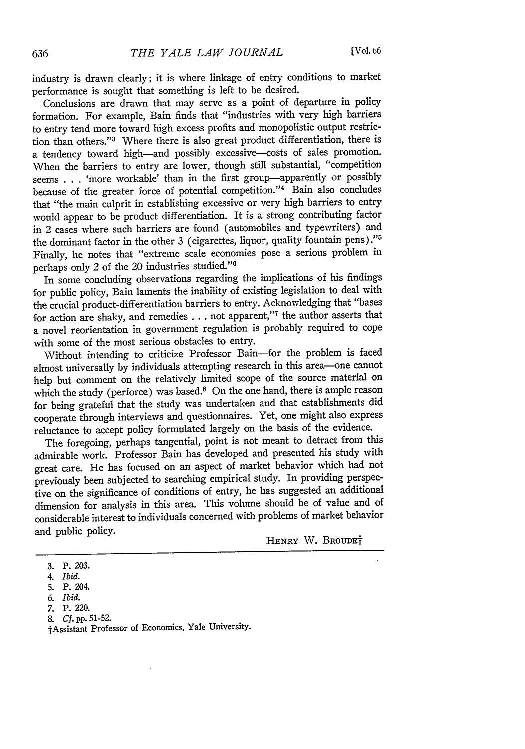industry is drawn clearly; it is where linkage of entry conditions to market performance is sought that something is left to be desired.

Conclusions are drawn that may serve as a point of departure in policy formation. For example, Bain finds that "industries with very high barriers to entry tend more toward high excess profits and monopolistic output restriction than others."<sup>3</sup> Where there is also great product differentiation, there is a tendency toward high-and possibly excessive--costs of sales promotion. When the barriers to entry are lower, though still substantial, "competition seems . . . 'more workable' than in the first group-apparently or possibly because of the greater force of potential competition."<sup>4</sup> Bain also concludes that "the main culprit in establishing excessive or very high barriers to entry would appear to be product differentiation. It is a strong contributing factor in 2 cases where such barriers are found (automobiles and typewriters) and the dominant factor in the other 3 (cigarettes, liquor, quality fountain pens)."<sup>5</sup> Finally, he notes that "extreme scale economies pose a serious problem in perhaps only 2 of the 20 industries studied."

In some concluding observations regarding the implications of his findings for public policy, Bain laments the inability of existing legislation to deal with the crucial product-differentiation barriers to entry. Acknowledging that "bases for action are shaky, and remedies **...** not apparent,"'7 the author asserts that a novel reorientation in government regulation is probably required to cope with some of the most serious obstacles to entry.

Without intending to criticize Professor Bain-for the problem is faced almost universally by individuals attempting research in this area-one cannot help but comment on the relatively limited scope of the source material on which the study (perforce) was based.<sup>8</sup> On the one hand, there is ample reason for being grateful that the study was undertaken and that establishments did cooperate through interviews and questionnaires. Yet, one might also express reluctance to accept policy formulated largely on the basis of the evidence.

The foregoing, perhaps tangential, point is not meant to detract from this admirable work. Professor Bain has developed and presented his study with great care. He has focused on an aspect of market behavior which had not previously been subjected to searching empirical study. In providing perspective on the significance of conditions of entry, he has suggested an additional dimension for analysis in this area. This volume should be of value and of considerable interest to individuals concerned with problems of market behavior and public policy.

HENRY W. **BROUDEt**

**8.** *Cf.* **pp. 51-52.**

**<sup>3.</sup>** P. **203.**

*<sup>4.</sup> Ibid.*

<sup>5.</sup> P. 204.

*<sup>6.</sup> Ibid.*

**<sup>7.</sup>** P. 220.

tAssistant Professor of Economics, Yale University.